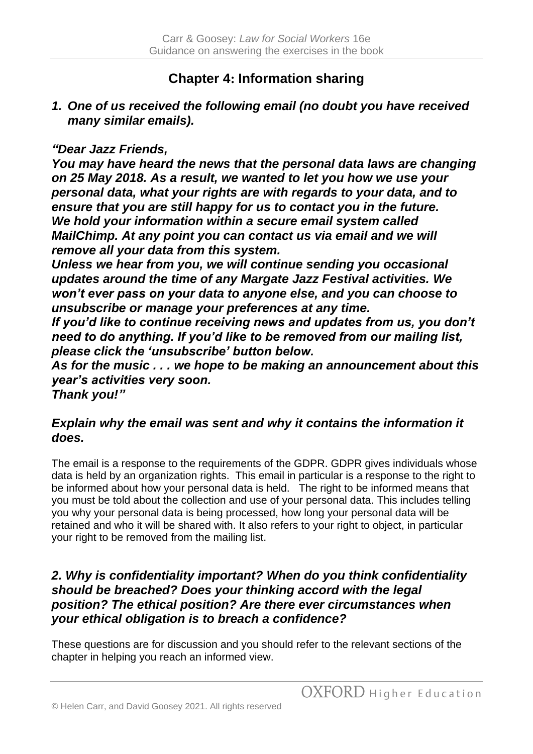# **Chapter 4: Information sharing**

*1. One of us received the following email (no doubt you have received many similar emails).*

#### *"Dear Jazz Friends,*

*You may have heard the news that the personal data laws are changing on 25 May 2018. As a result, we wanted to let you how we use your personal data, what your rights are with regards to your data, and to ensure that you are still happy for us to contact you in the future. We hold your information within a secure email system called MailChimp. At any point you can contact us via email and we will remove all your data from this system.*

*Unless we hear from you, we will continue sending you occasional updates around the time of any Margate Jazz Festival activities. We won't ever pass on your data to anyone else, and you can choose to unsubscribe or manage your preferences at any time.*

*If you'd like to continue receiving news and updates from us, you don't need to do anything. If you'd like to be removed from our mailing list, please click the 'unsubscribe' button below.*

*As for the music . . . we hope to be making an announcement about this year's activities very soon.*

*Thank you!"*

# *Explain why the email was sent and why it contains the information it does.*

The email is a response to the requirements of the GDPR. GDPR gives individuals whose data is held by an organization rights. This email in particular is a response to the right to be informed about how your personal data is held. The right to be informed means that you must be told about the collection and use of your personal data. This includes telling you why your personal data is being processed, how long your personal data will be retained and who it will be shared with. It also refers to your right to object, in particular your right to be removed from the mailing list.

#### *2. Why is confidentiality important? When do you think confidentiality should be breached? Does your thinking accord with the legal position? The ethical position? Are there ever circumstances when your ethical obligation is to breach a confidence?*

These questions are for discussion and you should refer to the relevant sections of the chapter in helping you reach an informed view.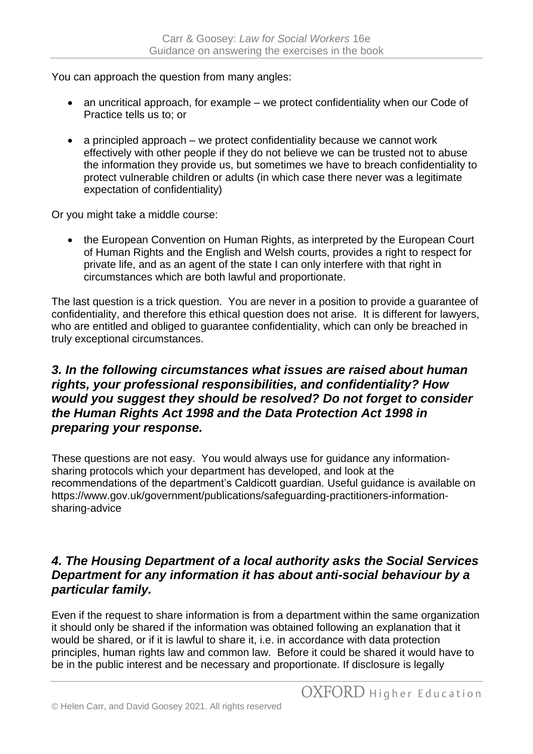You can approach the question from many angles:

- an uncritical approach, for example we protect confidentiality when our Code of Practice tells us to; or
- a principled approach we protect confidentiality because we cannot work effectively with other people if they do not believe we can be trusted not to abuse the information they provide us, but sometimes we have to breach confidentiality to protect vulnerable children or adults (in which case there never was a legitimate expectation of confidentiality)

Or you might take a middle course:

• the European Convention on Human Rights, as interpreted by the European Court of Human Rights and the English and Welsh courts, provides a right to respect for private life, and as an agent of the state I can only interfere with that right in circumstances which are both lawful and proportionate.

The last question is a trick question. You are never in a position to provide a guarantee of confidentiality, and therefore this ethical question does not arise. It is different for lawyers, who are entitled and obliged to guarantee confidentiality, which can only be breached in truly exceptional circumstances.

# *3. In the following circumstances what issues are raised about human rights, your professional responsibilities, and confidentiality? How would you suggest they should be resolved? Do not forget to consider the Human Rights Act 1998 and the Data Protection Act 1998 in preparing your response.*

These questions are not easy. You would always use for guidance any informationsharing protocols which your department has developed, and look at the recommendations of the department's Caldicott guardian. Useful guidance is available on https://www.gov.uk/government/publications/safeguarding-practitioners-informationsharing-advice

#### *4. The Housing Department of a local authority asks the Social Services Department for any information it has about anti-social behaviour by a particular family.*

Even if the request to share information is from a department within the same organization it should only be shared if the information was obtained following an explanation that it would be shared, or if it is lawful to share it, i.e. in accordance with data protection principles, human rights law and common law. Before it could be shared it would have to be in the public interest and be necessary and proportionate. If disclosure is legally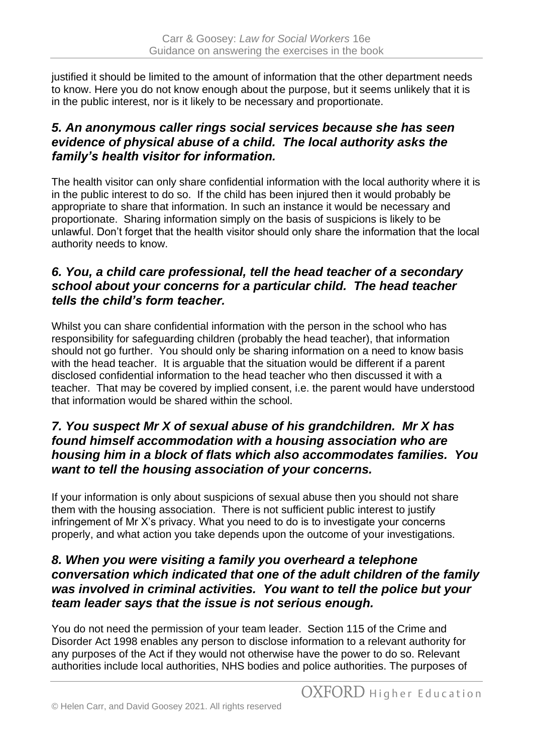justified it should be limited to the amount of information that the other department needs to know. Here you do not know enough about the purpose, but it seems unlikely that it is in the public interest, nor is it likely to be necessary and proportionate.

# *5. An anonymous caller rings social services because she has seen evidence of physical abuse of a child. The local authority asks the family's health visitor for information.*

The health visitor can only share confidential information with the local authority where it is in the public interest to do so. If the child has been injured then it would probably be appropriate to share that information. In such an instance it would be necessary and proportionate. Sharing information simply on the basis of suspicions is likely to be unlawful. Don't forget that the health visitor should only share the information that the local authority needs to know.

# *6. You, a child care professional, tell the head teacher of a secondary school about your concerns for a particular child. The head teacher tells the child's form teacher.*

Whilst you can share confidential information with the person in the school who has responsibility for safeguarding children (probably the head teacher), that information should not go further. You should only be sharing information on a need to know basis with the head teacher. It is arguable that the situation would be different if a parent disclosed confidential information to the head teacher who then discussed it with a teacher. That may be covered by implied consent, i.e. the parent would have understood that information would be shared within the school.

# *7. You suspect Mr X of sexual abuse of his grandchildren. Mr X has found himself accommodation with a housing association who are housing him in a block of flats which also accommodates families. You want to tell the housing association of your concerns.*

If your information is only about suspicions of sexual abuse then you should not share them with the housing association. There is not sufficient public interest to justify infringement of Mr X's privacy. What you need to do is to investigate your concerns properly, and what action you take depends upon the outcome of your investigations.

#### *8. When you were visiting a family you overheard a telephone conversation which indicated that one of the adult children of the family was involved in criminal activities. You want to tell the police but your team leader says that the issue is not serious enough.*

You do not need the permission of your team leader. Section 115 of the Crime and Disorder Act 1998 enables any person to disclose information to a relevant authority for any purposes of the Act if they would not otherwise have the power to do so. Relevant authorities include local authorities, NHS bodies and police authorities. The purposes of